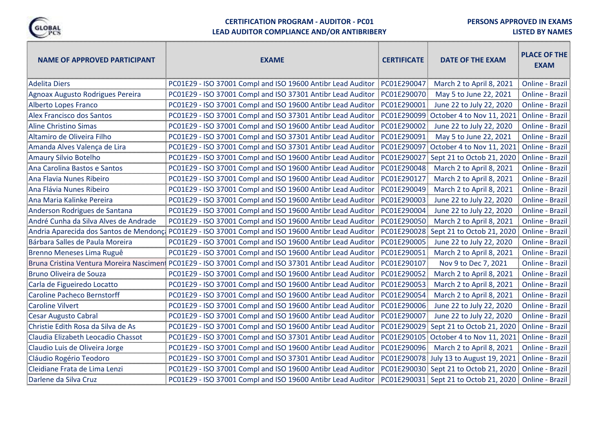

#### **CERTIFICATION PROGRAM - AUDITOR - PC01**

**PERSONS APPROVED IN EXAMS**

n,

#### **LEAD AUDITOR COMPLIANCE AND/OR ANTIBRIBERY**

| <b>NAME OF APPROVED PARTICIPANT</b>     | <b>EXAME</b>                                                                                         | <b>CERTIFICATE</b> | DATE OF THE EXAM                       | <b>PLACE OF THE</b><br><b>EXAM</b> |
|-----------------------------------------|------------------------------------------------------------------------------------------------------|--------------------|----------------------------------------|------------------------------------|
| <b>Adelita Diers</b>                    | PC01E29 - ISO 37001 Compl and ISO 19600 Antibr Lead Auditor                                          | PC01E290047        | March 2 to April 8, 2021               | Online - Brazil                    |
| Agnoax Augusto Rodrigues Pereira        | PC01E29 - ISO 37001 Compl and ISO 37301 Antibr Lead Auditor                                          | PC01E290070        | May 5 to June 22, 2021                 | Online - Brazil                    |
| Alberto Lopes Franco                    | PC01E29 - ISO 37001 Compl and ISO 19600 Antibr Lead Auditor                                          | PC01E290001        | June 22 to July 22, 2020               | Online - Brazil                    |
| <b>Alex Francisco dos Santos</b>        | PC01E29 - ISO 37001 Compl and ISO 37301 Antibr Lead Auditor                                          | PC01E290099        | October 4 to Nov 11, 2021              | Online - Brazil                    |
| Aline Christino Simas                   | PC01E29 - ISO 37001 Compl and ISO 19600 Antibr Lead Auditor                                          | PC01E290002        | June 22 to July 22, 2020               | Online - Brazil                    |
| Altamiro de Oliveira Filho              | PC01E29 - ISO 37001 Compl and ISO 37301 Antibr Lead Auditor                                          | PC01E290091        | May 5 to June 22, 2021                 | Online - Brazil                    |
| Amanda Alves Valença de Lira            | PC01E29 - ISO 37001 Compl and ISO 37301 Antibr Lead Auditor                                          | PC01E290097        | October 4 to Nov 11, 2021              | Online - Brazil                    |
| Amaury Silvio Botelho                   | PC01E29 - ISO 37001 Compl and ISO 19600 Antibr Lead Auditor                                          | PC01E290027        | Sept 21 to Octob 21, 2020              | Online - Brazil                    |
| Ana Carolina Bastos e Santos            | PC01E29 - ISO 37001 Compl and ISO 19600 Antibr Lead Auditor                                          | PC01E290048        | March 2 to April 8, 2021               | Online - Brazil                    |
| Ana Flavia Nunes Ribeiro                | PC01E29 - ISO 37001 Compl and ISO 19600 Antibr Lead Auditor                                          | PC01E290127        | March 2 to April 8, 2021               | Online - Brazil                    |
| Ana Flávia Nunes Ribeiro                | PC01E29 - ISO 37001 Compl and ISO 19600 Antibr Lead Auditor                                          | PC01E290049        | March 2 to April 8, 2021               | Online - Brazil                    |
| Ana Maria Kalinke Pereira               | PC01E29 - ISO 37001 Compl and ISO 19600 Antibr Lead Auditor                                          | PC01E290003        | June 22 to July 22, 2020               | Online - Brazil                    |
| Anderson Rodrigues de Santana           | PC01E29 - ISO 37001 Compl and ISO 19600 Antibr Lead Auditor                                          | PC01E290004        | June 22 to July 22, 2020               | Online - Brazil                    |
| André Cunha da Silva Alves de Andrade   | PC01E29 - ISO 37001 Compl and ISO 19600 Antibr Lead Auditor                                          | PC01E290050        | March 2 to April 8, 2021               | Online - Brazil                    |
| Andria Aparecida dos Santos de Mendonça | PC01E29 - ISO 37001 Compl and ISO 19600 Antibr Lead Auditor                                          |                    | PC01E290028 Sept 21 to Octob 21, 2020  | Online - Brazil                    |
| Bárbara Salles de Paula Moreira         | PC01E29 - ISO 37001 Compl and ISO 19600 Antibr Lead Auditor                                          | PC01E290005        | June 22 to July 22, 2020               | Online - Brazil                    |
| Brenno Meneses Lima Ruguê               | PC01E29 - ISO 37001 Compl and ISO 19600 Antibr Lead Auditor                                          | PC01E290051        | March 2 to April 8, 2021               | Online - Brazil                    |
|                                         | Bruna Cristina Ventura Moreira Nascimen: PC01E29 - ISO 37001 Compl and ISO 37301 Antibr Lead Auditor | PC01E290107        | Nov 9 to Dec 7, 2021                   | Online - Brazil                    |
| <b>Bruno Oliveira de Souza</b>          | PC01E29 - ISO 37001 Compl and ISO 19600 Antibr Lead Auditor                                          | PC01E290052        | March 2 to April 8, 2021               | Online - Brazil                    |
| Carla de Figueiredo Locatto             | PC01E29 - ISO 37001 Compl and ISO 19600 Antibr Lead Auditor                                          | PC01E290053        | March 2 to April 8, 2021               | Online - Brazil                    |
| <b>Caroline Pacheco Bernstorff</b>      | PC01E29 - ISO 37001 Compl and ISO 19600 Antibr Lead Auditor                                          | PC01E290054        | March 2 to April 8, 2021               | Online - Brazil                    |
| <b>Caroline Vilvert</b>                 | PC01E29 - ISO 37001 Compl and ISO 19600 Antibr Lead Auditor                                          | PC01E290006        | June 22 to July 22, 2020               | Online - Brazil                    |
| <b>Cesar Augusto Cabral</b>             | PC01E29 - ISO 37001 Compl and ISO 19600 Antibr Lead Auditor                                          | PC01E290007        | June 22 to July 22, 2020               | Online - Brazil                    |
| Christie Edith Rosa da Silva de As      | PC01E29 - ISO 37001 Compl and ISO 19600 Antibr Lead Auditor                                          |                    | PC01E290029 Sept 21 to Octob 21, 2020  | Online - Brazil                    |
| Claudia Elizabeth Leocadio Chassot      | PC01E29 - ISO 37001 Compl and ISO 37301 Antibr Lead Auditor                                          |                    | PC01E290105 October 4 to Nov 11, 2021  | Online - Brazil                    |
| Claudio Luis de Oliveira Jorge          | PC01E29 - ISO 37001 Compl and ISO 19600 Antibr Lead Auditor                                          | PC01E290096        | March 2 to April 8, 2021               | Online - Brazil                    |
| Cláudio Rogério Teodoro                 | PC01E29 - ISO 37001 Compl and ISO 37301 Antibr Lead Auditor                                          |                    | PC01E290078 July 13 to August 19, 2021 | Online - Brazil                    |
| Cleidiane Frata de Lima Lenzi           | PC01E29 - ISO 37001 Compl and ISO 19600 Antibr Lead Auditor                                          |                    | PC01E290030 Sept 21 to Octob 21, 2020  | Online - Brazil                    |
| Darlene da Silva Cruz                   | PC01E29 - ISO 37001 Compl and ISO 19600 Antibr Lead Auditor                                          |                    | PC01E290031 Sept 21 to Octob 21, 2020  | Online - Brazil                    |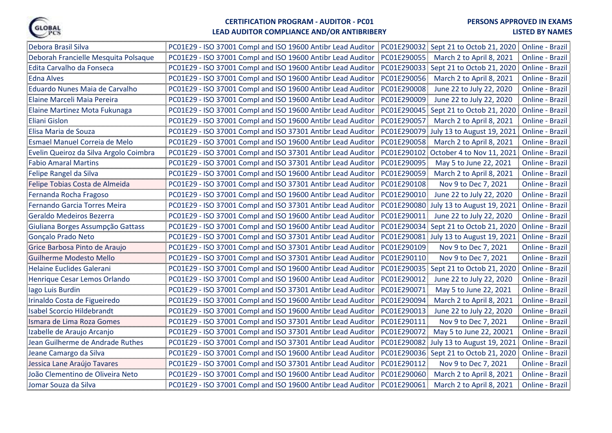

# **LEAD AUDITOR COMPLIANCE AND/OR ANTIBRIBERY**

| Debora Brasil Silva                    | PC01E29 - ISO 37001 Compl and ISO 19600 Antibr Lead Auditor<br>PC01E290032 Sept 21 to Octob 21, 2020  |                            | Online - Brazil        |
|----------------------------------------|-------------------------------------------------------------------------------------------------------|----------------------------|------------------------|
| Deborah Francielle Mesquita Polsaque   | PC01E290055<br>PC01E29 - ISO 37001 Compl and ISO 19600 Antibr Lead Auditor                            | March 2 to April 8, 2021   | Online - Brazil        |
| Edita Carvalho da Fonseca              | PC01E29 - ISO 37001 Compl and ISO 19600 Antibr Lead Auditor<br>PC01E290033 Sept 21 to Octob 21, 2020  |                            | Online - Brazil        |
| <b>Edna Alves</b>                      | PC01E290056<br>PC01E29 - ISO 37001 Compl and ISO 19600 Antibr Lead Auditor                            | March 2 to April 8, 2021   | Online - Brazil        |
| Eduardo Nunes Maia de Carvalho         | PC01E290008<br>PC01E29 - ISO 37001 Compl and ISO 19600 Antibr Lead Auditor                            | June 22 to July 22, 2020   | Online - Brazil        |
| Elaine Marceli Maia Pereira            | PC01E290009<br>PC01E29 - ISO 37001 Compl and ISO 19600 Antibr Lead Auditor                            | June 22 to July 22, 2020   | Online - Brazil        |
| Elaine Martinez Mota Fukunaga          | PC01E290045 Sept 21 to Octob 21, 2020<br>PC01E29 - ISO 37001 Compl and ISO 19600 Antibr Lead Auditor  |                            | Online - Brazil        |
| <b>Eliani Gislon</b>                   | PC01E290057<br>PC01E29 - ISO 37001 Compl and ISO 19600 Antibr Lead Auditor                            | March 2 to April 8, 2021   | Online - Brazil        |
| Elisa Maria de Souza                   | PC01E29 - ISO 37001 Compl and ISO 37301 Antibr Lead Auditor<br>PC01E290079 July 13 to August 19, 2021 |                            | Online - Brazil        |
| Esmael Manuel Correia de Melo          | PC01E290058<br>PC01E29 - ISO 37001 Compl and ISO 19600 Antibr Lead Auditor                            | March 2 to April 8, 2021   | Online - Brazil        |
| Evelin Queiroz da Silva Argolo Coimbra | PC01E290102 October 4 to Nov 11, 2021<br>PC01E29 - ISO 37001 Compl and ISO 37301 Antibr Lead Auditor  |                            | Online - Brazil        |
| <b>Fabio Amaral Martins</b>            | PC01E29 - ISO 37001 Compl and ISO 37301 Antibr Lead Auditor<br>PC01E290095                            | May 5 to June 22, 2021     | <b>Online - Brazil</b> |
| Felipe Rangel da Silva                 | PC01E290059<br>PC01E29 - ISO 37001 Compl and ISO 19600 Antibr Lead Auditor                            | March 2 to April 8, 2021   | <b>Online - Brazil</b> |
| Felipe Tobias Costa de Almeida         | PC01E290108<br>PC01E29 - ISO 37001 Compl and ISO 37301 Antibr Lead Auditor                            | Nov 9 to Dec 7, 2021       | Online - Brazil        |
| Fernanda Rocha Fragoso                 | PC01E290010<br>PC01E29 - ISO 37001 Compl and ISO 19600 Antibr Lead Auditor                            | June 22 to July 22, 2020   | Online - Brazil        |
| Fernando Garcia Torres Meira           | PC01E290080 July 13 to August 19, 2021<br>PC01E29 - ISO 37001 Compl and ISO 37301 Antibr Lead Auditor |                            | Online - Brazil        |
| Geraldo Medeiros Bezerra               | PC01E29 - ISO 37001 Compl and ISO 19600 Antibr Lead Auditor<br>PC01E290011                            | June 22 to July 22, 2020   | Online - Brazil        |
| Giuliana Borges Assumpção Gattass      | PC01E29 - ISO 37001 Compl and ISO 19600 Antibr Lead Auditor<br>PC01E290034 Sept 21 to Octob 21, 2020  |                            | Online - Brazil        |
| Gonçalo Prado Neto                     | PC01E290081 July 13 to August 19, 2021<br>PC01E29 - ISO 37001 Compl and ISO 37301 Antibr Lead Auditor |                            | Online - Brazil        |
| Grice Barbosa Pinto de Araujo          | PC01E290109<br>PC01E29 - ISO 37001 Compl and ISO 37301 Antibr Lead Auditor                            | Nov 9 to Dec 7, 2021       | Online - Brazil        |
| <b>Guilherme Modesto Mello</b>         | PC01E29 - ISO 37001 Compl and ISO 37301 Antibr Lead Auditor<br>PC01E290110                            | Nov 9 to Dec 7, 2021       | Online - Brazil        |
| <b>Helaine Euclides Galerani</b>       | PC01E29 - ISO 37001 Compl and ISO 19600 Antibr Lead Auditor<br>PC01E290035 Sept 21 to Octob 21, 2020  |                            | Online - Brazil        |
| Henrique Cesar Lemos Orlando           | PC01E290012<br>PC01E29 - ISO 37001 Compl and ISO 19600 Antibr Lead Auditor                            | June 22 to July 22, 2020   | Online - Brazil        |
| lago Luis Burdin                       | PC01E290071<br>PC01E29 - ISO 37001 Compl and ISO 37301 Antibr Lead Auditor                            | May 5 to June 22, 2021     | Online - Brazil        |
| Irinaldo Costa de Figueiredo           | PC01E290094<br>PC01E29 - ISO 37001 Compl and ISO 19600 Antibr Lead Auditor                            | March 2 to April 8, 2021   | Online - Brazil        |
| <b>Isabel Scorcio Hildebrandt</b>      | PC01E290013<br>PC01E29 - ISO 37001 Compl and ISO 19600 Antibr Lead Auditor                            | June 22 to July 22, 2020   | Online - Brazil        |
| Ismara de Lima Roza Gomes              | PC01E290111<br>PC01E29 - ISO 37001 Compl and ISO 37301 Antibr Lead Auditor                            | Nov 9 to Dec 7, 2021       | Online - Brazil        |
| Izabelle de Araujo Arcanjo             | PC01E29 - ISO 37001 Compl and ISO 37301 Antibr Lead Auditor<br>PC01E290072                            | May 5 to June 22, 20021    | Online - Brazil        |
| Jean Guilherme de Andrade Ruthes       | PC01E290082<br>PC01E29 - ISO 37001 Compl and ISO 37301 Antibr Lead Auditor                            | July 13 to August 19, 2021 | Online - Brazil        |
| Jeane Camargo da Silva                 | PC01E29 - ISO 37001 Compl and ISO 19600 Antibr Lead Auditor<br>PC01E290036 Sept 21 to Octob 21, 2020  |                            | Online - Brazil        |
| Jessica Lane Araújo Tavares            | PC01E290112<br>PC01E29 - ISO 37001 Compl and ISO 37301 Antibr Lead Auditor                            | Nov 9 to Dec 7, 2021       | Online - Brazil        |
| João Clementino de Oliveira Neto       | PC01E290060<br>PC01E29 - ISO 37001 Compl and ISO 19600 Antibr Lead Auditor                            | March 2 to April 8, 2021   | Online - Brazil        |
| Jomar Souza da Silva                   | PC01E290061<br>PC01E29 - ISO 37001 Compl and ISO 19600 Antibr Lead Auditor                            | March 2 to April 8, 2021   | Online - Brazil        |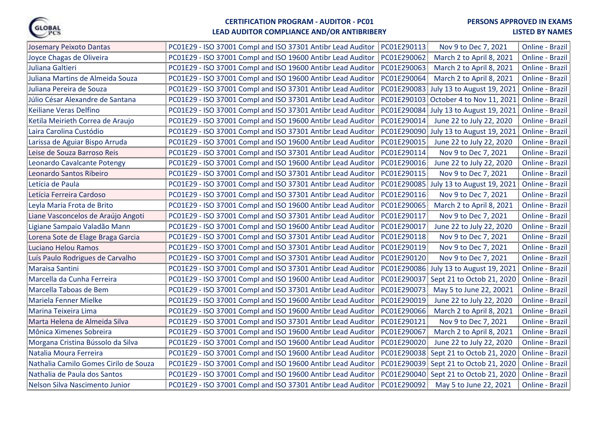

# **LEAD AUDITOR COMPLIANCE AND/OR ANTIBRIBERY**

| Josemary Peixoto Dantas               | PC01E29 - ISO 37001 Compl and ISO 37301 Antibr Lead Auditor PC01E290113 | Nov 9 to Dec 7, 2021                    | Online - Brazil |
|---------------------------------------|-------------------------------------------------------------------------|-----------------------------------------|-----------------|
| Joyce Chagas de Oliveira              | PC01E29 - ISO 37001 Compl and ISO 19600 Antibr Lead Auditor             | PC01E290062<br>March 2 to April 8, 2021 | Online - Brazil |
| Juliana Galtieri                      | PC01E29 - ISO 37001 Compl and ISO 19600 Antibr Lead Auditor             | PC01E290063<br>March 2 to April 8, 2021 | Online - Brazil |
| Juliana Martins de Almeida Souza      | PC01E29 - ISO 37001 Compl and ISO 19600 Antibr Lead Auditor             | PC01E290064<br>March 2 to April 8, 2021 | Online - Brazil |
| Juliana Pereira de Souza              | PC01E29 - ISO 37001 Compl and ISO 37301 Antibr Lead Auditor             | PC01E290083 July 13 to August 19, 2021  | Online - Brazil |
| Júlio César Alexandre de Santana      | PC01E29 - ISO 37001 Compl and ISO 37301 Antibr Lead Auditor             | PC01E290103 October 4 to Nov 11, 2021   | Online - Brazil |
| Keiliane Veras Delfino                | PC01E29 - ISO 37001 Compl and ISO 37301 Antibr Lead Auditor             | PC01E290084 July 13 to August 19, 2021  | Online - Brazil |
| Ketila Meirieth Correa de Araujo      | PC01E29 - ISO 37001 Compl and ISO 19600 Antibr Lead Auditor             | PC01E290014<br>June 22 to July 22, 2020 | Online - Brazil |
| Laira Carolina Custódio               | PC01E29 - ISO 37001 Compl and ISO 37301 Antibr Lead Auditor             | PC01E290090 July 13 to August 19, 2021  | Online - Brazil |
| Larissa de Aguiar Bispo Arruda        | PC01E29 - ISO 37001 Compl and ISO 19600 Antibr Lead Auditor             | PC01E290015<br>June 22 to July 22, 2020 | Online - Brazil |
| Leise de Souza Barroso Reis           | PC01E29 - ISO 37001 Compl and ISO 37301 Antibr Lead Auditor             | PC01E290114<br>Nov 9 to Dec 7, 2021     | Online - Brazil |
| Leonardo Cavalcante Potengy           | PC01E29 - ISO 37001 Compl and ISO 19600 Antibr Lead Auditor             | PC01E290016<br>June 22 to July 22, 2020 | Online - Brazil |
| Leonardo Santos Ribeiro               | PC01E29 - ISO 37001 Compl and ISO 37301 Antibr Lead Auditor             | PC01E290115<br>Nov 9 to Dec 7, 2021     | Online - Brazil |
| Letícia de Paula                      | PC01E29 - ISO 37001 Compl and ISO 37301 Antibr Lead Auditor             | PC01E290085 July 13 to August 19, 2021  | Online - Brazil |
| Letícia Ferreira Cardoso              | PC01E29 - ISO 37001 Compl and ISO 37301 Antibr Lead Auditor             | PC01E290116<br>Nov 9 to Dec 7, 2021     | Online - Brazil |
| Leyla Maria Frota de Brito            | PC01E29 - ISO 37001 Compl and ISO 19600 Antibr Lead Auditor             | PC01E290065<br>March 2 to April 8, 2021 | Online - Brazil |
| Liane Vasconcelos de Araújo Angoti    | PC01E29 - ISO 37001 Compl and ISO 37301 Antibr Lead Auditor             | PC01E290117<br>Nov 9 to Dec 7, 2021     | Online - Brazil |
| Ligiane Sampaio Valadão Mann          | PC01E29 - ISO 37001 Compl and ISO 19600 Antibr Lead Auditor             | PC01E290017<br>June 22 to July 22, 2020 | Online - Brazil |
| Lorena Sote de Elage Braga Garcia     | PC01E29 - ISO 37001 Compl and ISO 37301 Antibr Lead Auditor             | PC01E290118<br>Nov 9 to Dec 7, 2021     | Online - Brazil |
| Luciano Helou Ramos                   | PC01E29 - ISO 37001 Compl and ISO 37301 Antibr Lead Auditor             | PC01E290119<br>Nov 9 to Dec 7, 2021     | Online - Brazil |
| Luís Paulo Rodrigues de Carvalho      | PC01E29 - ISO 37001 Compl and ISO 37301 Antibr Lead Auditor             | PC01E290120<br>Nov 9 to Dec 7, 2021     | Online - Brazil |
| Maraisa Santini                       | PC01E29 - ISO 37001 Compl and ISO 37301 Antibr Lead Auditor             | PC01E290086 July 13 to August 19, 2021  | Online - Brazil |
| Marcella da Cunha Ferreira            | PC01E29 - ISO 37001 Compl and ISO 19600 Antibr Lead Auditor             | PC01E290037 Sept 21 to Octob 21, 2020   | Online - Brazil |
| Marcella Taboas de Bem                | PC01E29 - ISO 37001 Compl and ISO 37301 Antibr Lead Auditor             | PC01E290073<br>May 5 to June 22, 20021  | Online - Brazil |
| Mariela Fenner Mielke                 | PC01E29 - ISO 37001 Compl and ISO 19600 Antibr Lead Auditor             | PC01E290019<br>June 22 to July 22, 2020 | Online - Brazil |
| Marina Teixeira Lima                  | PC01E29 - ISO 37001 Compl and ISO 19600 Antibr Lead Auditor             | PC01E290066<br>March 2 to April 8, 2021 | Online - Brazil |
| Marta Helena de Almeida Silva         | PC01E29 - ISO 37001 Compl and ISO 37301 Antibr Lead Auditor             | PC01E290121<br>Nov 9 to Dec 7, 2021     | Online - Brazil |
| Mônica Ximenes Sobreira               | PC01E29 - ISO 37001 Compl and ISO 19600 Antibr Lead Auditor             | PC01E290067<br>March 2 to April 8, 2021 | Online - Brazil |
| Morgana Cristina Bússolo da Silva     | PC01E29 - ISO 37001 Compl and ISO 19600 Antibr Lead Auditor             | PC01E290020<br>June 22 to July 22, 2020 | Online - Brazil |
| Natalia Moura Ferreira                | PC01E29 - ISO 37001 Compl and ISO 19600 Antibr Lead Auditor             | PC01E290038 Sept 21 to Octob 21, 2020   | Online - Brazil |
| Nathalia Camilo Gomes Cirilo de Souza | PC01E29 - ISO 37001 Compl and ISO 19600 Antibr Lead Auditor             | PC01E290039 Sept 21 to Octob 21, 2020   | Online - Brazil |
| Nathalia de Paula dos Santos          | PC01E29 - ISO 37001 Compl and ISO 19600 Antibr Lead Auditor             | PC01E290040 Sept 21 to Octob 21, 2020   | Online - Brazil |
| Nelson Silva Nascimento Junior        | PC01E29 - ISO 37001 Compl and ISO 37301 Antibr Lead Auditor             | PC01E290092<br>May 5 to June 22, 2021   | Online - Brazil |